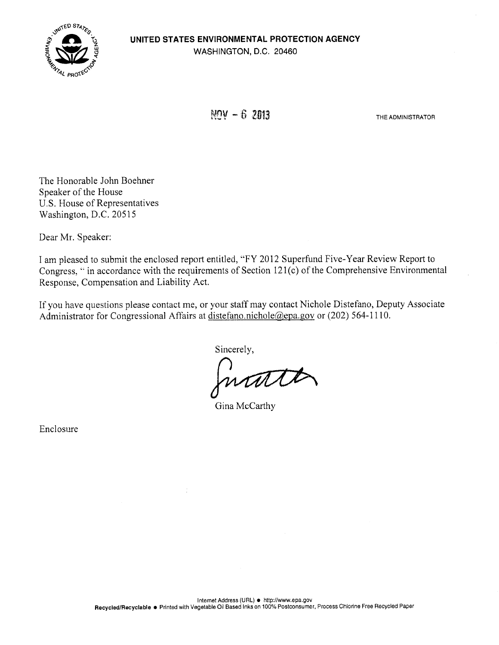# **UNITED STATES ENVIRONMENTAL PROTECTION AGENCY**  WASHINGTON, D.C. 20460



 $NOV - 62013$ 

THE ADMINISTRATOR

The Honorable John Boehner Speaker of the House U.S. House of Representatives Washington, D.C. 20515

Dear Mr. Speaker:

I am pleased to submit the enclosed report entitled, "FY 2012 Superfund Five-Year Review Report to Congress, " in accordance with the requirements of Section 121(c) of the Comprehensive Environmental Response, Compensation and Liability Act.

If you have questions please contact me, or your staff may contact Nichole Distefano, Deputy Associate Administrator for Congressional Affairs at distefano.nichole@epa.gov or (202) 564-1110.

Sincerely,

ntil

Gina McCarthy

Enclosure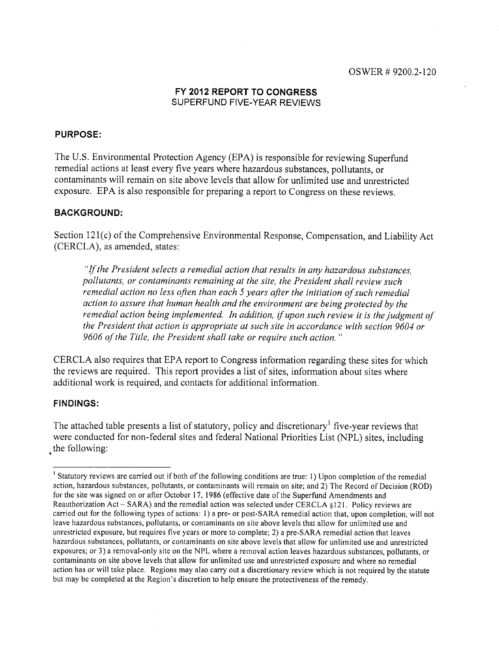# OSWER #9200.2-120

# **FY 2012 REPORT TO CONGRESS**  SUPERFUND FIVE-YEAR REVIEWS

# **PURPOSE:**

The U.S. Environmental Protection Agency (EPA) is responsible for reviewing Superfund remedial actions at least every five years where hazardous substances, pollutants, or contaminants will remain on site above levels that allow for unlimited use and unrestricted exposure. EPA is also responsible for preparing a report to Congress on these reviews.

## **BACKGROUND:**

Section 121(c) of the Comprehensive Environmental Response, Compensation, and Liability Act (CERCLA), as amended, states:

*"If the President selects a remedial action that results in any hazardous substances, pollutants, or contaminants remaining at the site, the President shall review such remedial action no less often than each 5 years after the initiation of such remedial action to assure that human health and the environment are being protected by the remedial action being implemented. In addition, if upon such review it is the judgment of the President that action is appropriate at such site in accordance with section 9604 or 9606 of the Title, the President shall take or require such action."* 

CERCLA also requires that EPA report to Congress information regarding these sites for which the reviews are required. This report provides a list of sites, information about sites where additional work is required, and contacts for additional information.

# **FINDINGS:**

The attached table presents a list of statutory, policy and discretionary<sup>1</sup> five-year reviews that were conducted for non-federal sites and federal National Priorities List (NPL) sites, including the following:

<sup>&</sup>lt;sup>1</sup> Statutory reviews are carried out if both of the following conditions are true: 1) Upon completion of the remedial action, hazardous substances, pollutants, or contaminants will remain on site; and 2) The Record of Decision (ROD) for the site was signed on or after October 17, 1986 (effective date of the Superfund Amendments and Reauthorization Act - SARA) and the remedial action was selected under CERCLA §121. Policy reviews are carried out for the following types of actions: 1) a pre- or post-SARA remedial action that, upon completion, will not leave hazardous substances, pollutants, or contaminants on site above levels that allow for unlimited use and unrestricted exposure, but requires five years or more to complete; 2) a pre-SARA remedial action that leaves hazardous substances, pollutants, or contaminants on site above levels that allow for unlimited use and unrestricted exposures; or 3) a removal-only site on the NPL where a removal action leaves hazardous substances, pollutants, or contaminants on site above levels that allow for unlimited use and unrestricted exposure and where no remedial action has or will take place. Regions may also carry out a discretionary review which is not required by the statute but may be completed at the Region's discretion to help ensure the protectiveness of the remedy.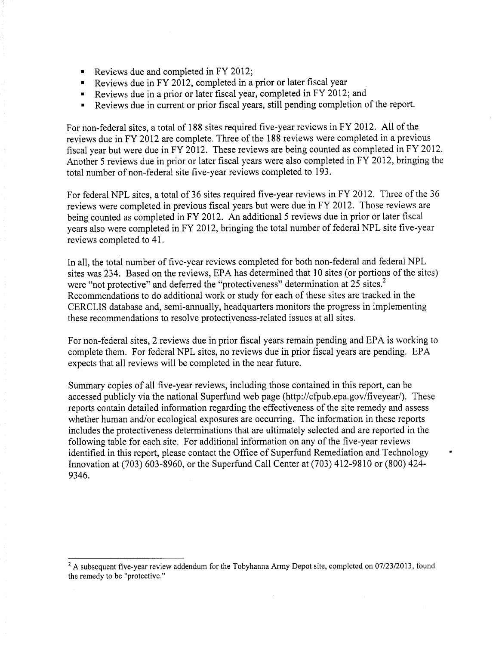- Reviews due and completed in FY 2012;
- Reviews due in FY 2012, completed in a prior or later fiscal year
- Reviews due in a prior or later fiscal year, completed in FY 2012; and
- Reviews due in current or prior fiscal years, still pending completion of the report.

For non-federal sites, a total of 188 sites required five-year reviews in FY 2012. All of the reviews due in FY 2012 are complete. Three of the 188 reviews were completed in a previous fiscal year but were due in FY 2012. These reviews are being counted as completed in FY 2012. Another *5* reviews due in prior or later fiscal years were also completed in FY 2012, bringing the total number of non-federal site five-year reviews completed to 193.

For federal NPL sites, a total of 36 sites required five-year reviews in FY 2012. Three of the 36 reviews were completed in previous fiscal years but were due in FY 2012. Those reviews are being counted as completed in FY 2012. An additional *5* reviews due in prior or later fiscal years also were completed in FY 2012, bringing the total number of federal NPL site five-year reviews completed to 41.

In all, the total number of five-year reviews completed for both non-federal and federal NPL sites was 234. Based on the reviews, EPA has determined that 10 sites (or portions of the sites) were "not protective" and deferred the "protectiveness" determination at 25 sites.<sup>2</sup> Recommendations to do additional work or study for each of these sites are tracked in the CERCLIS database and, semi-annually, headquarters monitors the progress in implementing these recommendations to resolve protectiveness-related issues at all sites.

For non-federal sites, 2 reviews due in prior fiscal years remain pending and EPA is working to complete them. For federal NPL sites, no reviews due in prior fiscal years are pending. EPA expects that all reviews will be completed in the near future.

Summary copies of all five-year reviews, including those contained in this report, can be accessed publicly via the national Superfund web page (http://cfpub.epa.gov/fiveyear/). These reports contain detailed information regarding the effectiveness of the site remedy and assess whether human and/or ecological exposures are occurring. The information in these reports includes the protectiveness determinations that are ultimately selected and are reported in the following table for each site. For additional information on any of the five-year reviews identified in this report, please contact the Office of Superfund Remediation and Technology Innovation at (703) 603-8960, or the Superfund Call Center at (703) 412-9810 or (800) 424- 9346.

 $2A$  subsequent five-year review addendum for the Tobyhanna Army Depot site, completed on 07/23/2013, found the remedy to be "protective."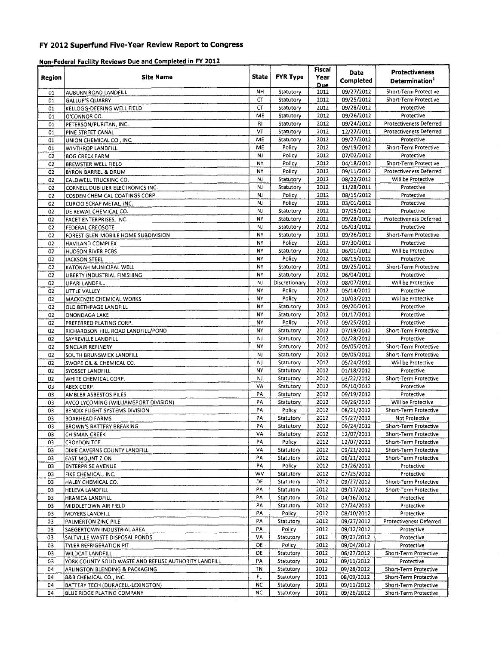# **P1 2012 Superfund Five-Year Review Report to Congress**

## **Non-Federal Facility Reviews Due and Completed in FY 2012**

|          |                                                       |                 |                        | Fiscal             | Date                     | <b>Protectiveness</b>                        |
|----------|-------------------------------------------------------|-----------------|------------------------|--------------------|--------------------------|----------------------------------------------|
| Region   | <b>Site Name</b>                                      | State           | <b>FYR Type</b>        | Year               | Completed                | Determination <sup>1</sup>                   |
| 01       | AUBURN ROAD LANDFILL                                  | <b>NH</b>       | Statutory              | <b>Due</b><br>2012 | 09/27/2012               | Short-Term Protective                        |
| 01       | <b>GALLUP'S QUARRY</b>                                | CT              | Statutory              | 2012               | 09/25/2012               | Short-Term Protective                        |
| 01       | KELLOGG-DEERING WELL FIELD                            | CT              | Statutory              | 2012               | 09/28/2012               | Protective                                   |
| 01       | O'CONNOR CO.                                          | ME              | Statutory              | 2012               | 09/26/2012               | Protective                                   |
| 01       | PETERSON/PURITAN, INC.                                | RI              | Statutory              | 2012               | 09/24/2012               | <b>Protectiveness Deferred</b>               |
| 01       | PINE STREET CANAL                                     | VT              | Statutory              | 2012               | 12/22/2011               | <b>Protectiveness Deferred</b>               |
| 01       | UNION CHEMICAL CO., INC.                              | ME              | Statutory              | 2012               | 09/27/2012               | Protective                                   |
| 01       | WINTHROP LANDFILL                                     | ME              | Policy                 | 2012               | 09/19/2012               | Short-Term Protective                        |
| 02       | <b>BOG CREEK FARM</b>                                 | NJ              | Policy                 | 2012               | 07/02/2012               | Protective                                   |
| 02       | BREWSTER WELL FIELD                                   | NY              | Policy                 | 2012               | 04/18/2012               | Short-Term Protective                        |
| 02       | <b>BYRON BARREL &amp; DRUM</b>                        | NY              | Policy                 | 2012               | 09/11/2012               | Protectiveness Deferred                      |
| 02       | CALDWELL TRUCKING CO.                                 | NJ              | Statutory              | 2012               | 08/22/2012               | Will be Protective                           |
| 02       | CORNELL DUBILIER ELECTRONICS INC.                     | NJ              | Statutory              | 2012               | 11/28/2011               | Protective                                   |
| 02       | COSDEN CHEMICAL COATINGS CORP.                        | NJ              | Policy                 | 2012               | 08/15/2012               | Protective                                   |
| 02       | CURCIO SCRAP METAL, INC.                              | NJ              | Policy                 | 2012               | 03/01/2012               | Protective                                   |
| 02       | DE REWAL CHEMICAL CO.                                 | NJ              | Statutory              | 2012               | 07/05/2012               | Protective                                   |
| 02       | FACET ENTERPRISES, INC.                               | N٢<br><b>NJ</b> | Statutory              | 2012               | 09/28/2012               | <b>Protectiveness Deferred</b><br>Protective |
| 02       | FEDERAL CREOSOTE                                      | NY              | Statutory<br>Statutory | 2012<br>2012       | 05/03/2012<br>09/26/2012 | Short-Term Protective                        |
| 02       | FOREST GLEN MOBILE HOME SUBDIVISION                   | NY              | Policy                 | 2012               | 07/30/2012               | Protective                                   |
| 02       | HAVILAND COMPLEX                                      | NY              | Statutory              | 2012               | 06/01/2012               | Will be Protective                           |
| 02<br>02 | <b>HUDSON RIVER PCBS</b>                              | N٢              | Policy                 | 2012               | 08/15/2012               | Protective                                   |
| 02       | JACKSON STEEL<br>KATONAH MUNICIPAL WELL               | NY              | Statutory              | 2012               | 09/25/2012               | Short-Term Protective                        |
| 02       | LIBERTY INDUSTRIAL FINISHING                          | NY              | Statutory              | 2012               | 06/04/2012               | Protective                                   |
| 02       | LIPARI LANDFILL                                       | <b>NJ</b>       | Discretionary          | 2012               | 08/07/2012               | Will be Protective                           |
| 02       | LITTLE VALLEY                                         | NY              | Policy                 | 2012               | 05/14/2012               | Protective                                   |
| 02       | <b>MACKENZIE CHEMICAL WORKS</b>                       | NY              | Policy                 | 2012               | 10/03/2011               | Will be Protective                           |
| 02       | OLD BETHPAGE LANDFILL                                 | NY              | Statutory              | 2012               | 09/20/2012               | Protective                                   |
| 02       | ONONDAGA LAKE                                         | NΥ              | Statutory              | 2012               | 01/17/2012               | Protective                                   |
| 02       | PREFERRED PLATING CORP.                               | NY              | Policy                 | 2012               | 09/25/2012               | Protective                                   |
| 02       | RICHARDSON HILL ROAD LANDFILL/POND                    | NY              | Statutory              | 2012               | 07/19/2012               | Short-Term Protective                        |
| 02       | SAYREVILLE LANDFILL                                   | NJ              | Statutory              | 2012               | 02/28/2012               | Protective                                   |
| 02       | SINCLAIR REFINERY                                     | NΥ              | Statutory              | 2012               | 09/05/2012               | Short-Term Protective                        |
| 02       | SOUTH BRUNSWICK LANDFILL                              | NJ              | Statutory              | 2012               | 09/05/2012               | Short-Term Protective                        |
| 02       | SWOPE OIL & CHEMICAL CO.                              | NJ              | Statutory              | 2012               | 05/24/2012               | Will be Protective                           |
| 02       | <b>SYOSSET LANDFILL</b>                               | NY              | Statutory              | 2012               | 01/18/2012               | Protective                                   |
| 02       | WHITE CHEMICAL CORP.                                  | N.              | Statutory              | 2012               | 03/22/2012               | Short-Term Protective                        |
| 03       | ABEX CORP.                                            | VA              | Statutory              | 2012               | 05/10/2012               | Protective                                   |
| 03       | <b>AMBLER ASBESTOS PILES</b>                          | PA              | Statutory              | 2012               | 09/19/2012               | Protective                                   |
| 03       | AVCO LYCOMING (WILLIAMSPORT DIVISION)                 | PA              | Statutory              | 2012               | 09/26/2012               | Will be Protective                           |
| 03       | <b>BENDIX FLIGHT SYSTEMS DIVISION</b>                 | PA              | Policy                 | 2012               | 08/21/2012               | Short-Term Protective                        |
| 03       | <b>BOARHEAD FARMS</b>                                 | PA              | Statutory              | 2012               | 09/27/2012               | Not Protective                               |
| 03       | <b>BROWN'S BATTERY BREAKING</b>                       | PA              | Statutory              | 2012               | 09/24/2012               | Short-Term Protective                        |
| 03       | CHISMAN CREEK                                         | VA              | Statutory              | 2012               | 12/07/2011               | Short-Term Protective                        |
| 03       | CROYDON TCE                                           | PA              | Policy                 | 2012               | 12/07/2011               | Short-Term Protective                        |
| 03       | DIXIE CAVERNS COUNTY LANDFILL                         | VA              | Statutory              | 2012               | 09/21/2012               | Short-Term Protective                        |
| 03       | <b>EAST MOUNT ZION</b>                                | PA<br>PA        | Statutory<br>Policy    | 2012<br>2012       | 06/21/2012<br>03/26/2012 | Short-Term Protective                        |
| 03<br>03 | <b>ENTERPRISE AVENUE</b>                              | wv              | Statutory              | 2012               | 07/25/2012               | Protective<br>Protective                     |
| 03       | FIKE CHEMICAL, INC.<br>HALBY CHEMICAL CO.             | DE              | Statutory              | 2012               | 09/27/2012               | Short-Term Protective                        |
| 03       | HELEVA LANDFILL                                       | PA              | Statutory              | 2012               | 09/17/2012               | Short-Term Protective                        |
| 03       | HRANICA LANDFILL                                      | PA              | Statutory              | 2012               | 04/16/2012               | Protective                                   |
| 03       | MIDDLETOWN AIR FIELD                                  | PA              | Statutory              | 2012               | 07/24/2012               | Protective                                   |
| 03       | <b>MOYERS LANDFILL</b>                                | PA              | Policy                 | 2012               | 08/10/2012               | Protective                                   |
| 03       | PALMERTON ZINC PILE                                   | PA              | Statutory              | 2012               | 09/27/2012               | Protectiveness Deferred                      |
| 03       | SAEGERTOWN INDUSTRIAL AREA                            | PA              | Policy                 | 2012               | 09/12/2012               | Protective                                   |
| 03       | SALTVILLE WASTE DISPOSAL PONDS                        | VA              | Statutory              | 2012               | 09/27/2012               | Protective                                   |
| 03       | TYLER REFRIGERATION PIT                               | DE              | Policy                 | 2012               | 09/04/2012               | Protective                                   |
| 03       | WILDCAT LANDFILL                                      | DE              | Statutory              | 2012               | 06/27/2012               | Short-Term Protective                        |
| 03       | YORK COUNTY SOLID WASTE AND REFUSE AUTHORITY LANDFILL | PA              | Statutory              | 2012               | 09/11/2012               | Protective                                   |
| 04       | ARLINGTON BLENDING & PACKAGING                        | ΤN              | Statutory              | 2012               | 09/28/2012               | Short-Term Protective                        |
| 04       | <b>B&amp;B CHEMICAL CO., INC.</b>                     | FL              | Statutory              | 2012               | 08/09/2012               | Short-Term Protective                        |
| 04       | BATTERY TECH (DURACELL-LEXINGTON)                     | NC              | Statutory              | 2012               | 09/11/2012               | Short-Term Protective                        |
| 04       | BLUE RIDGE PLATING COMPANY                            | NC              | Statutory              | 2012               | 09/26/2012               | Short-Term Protective                        |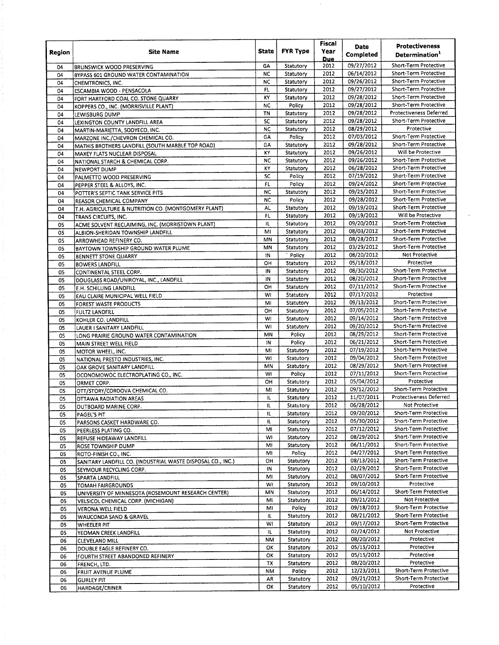|               |                                                                     |              |                        |              | Date                     | <b>Protectiveness</b>                          |
|---------------|---------------------------------------------------------------------|--------------|------------------------|--------------|--------------------------|------------------------------------------------|
| <b>Region</b> | Site Name                                                           | <b>State</b> | <b>FYR Type</b>        | Year         | Completed                | Determination <sup>1</sup>                     |
|               |                                                                     |              |                        | <b>Due</b>   |                          |                                                |
| 04            | <b>BRUNSWICK WOOD PRESERVING</b>                                    | GΑ           | Statutory              | 2012         | 09/27/2012               | Short-Term Protective                          |
| 04            | BYPASS 601 GROUND WATER CONTAMINATION                               | <b>NC</b>    | Statutory              | 2012         | 06/14/2012               | Short-Term Protective                          |
| 04            | CHEMTRONICS, INC.                                                   | NC<br>FL.    | Statutory<br>Statutory | 2012<br>2012 | 09/26/2012<br>09/27/2012 | Short-Term Protective<br>Short-Term Protective |
| 04            | ESCAMBIA WOOD - PENSACOLA                                           | KY           |                        | 2012         | 09/28/2012               | Short-Term Protective                          |
| 04            | FORT HARTFORD COAL CO. STONE QUARRY                                 | NC           | Statutory<br>Policy    | 2012         | 09/28/2012               | Short-Term Protective                          |
| 04            | KOPPERS CO., INC. (MORRISVILLE PLANT)                               | TN           | Statutory              | 2012         | 09/28/2012               | <b>Protectiveness Deferred</b>                 |
| 04            | <b>LEWISBURG DUMP</b>                                               | SC           | Statutory              | 2012         | 09/28/2012               | Short-Term Protective                          |
| 04            | LEXINGTON COUNTY LANDFILL AREA                                      | <b>NC</b>    | Statutory              | 2012         | 08/29/2012               | Protective                                     |
| 04<br>04      | MARTIN-MARIETTA, SODYECO, INC.<br>MARZONE INC./CHEVRON CHEMICAL CO. | GA           | Policy                 | 2012         | 07/03/2012               | Short-Term Protective                          |
| 04            | MATHIS BROTHERS LANDFILL (SOUTH MARBLE TOP ROAD)                    | GA           | Statutory              | 2012         | 09/28/2012               | Short-Term Protective                          |
| 04            | MAXEY FLATS NUCLEAR DISPOSAL                                        | KY           | Statutory              | 2012         | 09/26/2012               | Will be Protective                             |
| 04            | NATIONAL STARCH & CHEMICAL CORP.                                    | NC           | Statutory              | 2012         | 09/26/2012               | Short-Term Protective                          |
| 04            | <b>NEWPORT DUMP</b>                                                 | K٧           | Statutory              | 2012         | 06/28/2012               | Short-Term Protective                          |
| 04            | PALMETTO WOOD PRESERVING                                            | SC           | Policy                 | 2012         | 07/19/2012               | Short-Term Protective                          |
| 04            | PEPPER STEEL & ALLOYS, INC.                                         | FL           | Policy                 | 2012         | 09/24/2012               | Short-Term Protective                          |
| 04            | POTTER'S SEPTIC TANK SERVICE PITS                                   | <b>NC</b>    | Statutory              | 2012         | 09/25/2012               | Short-Term Protective                          |
| 04            | REASOR CHEMICAL COMPANY                                             | <b>NC</b>    | Policy                 | 2012         | 09/28/2012               | Short-Term Protective                          |
| 04            | T.H. AGRICULTURE & NUTRITION CO. (MONTGOMERY PLANT)                 | AL.          | Statutory              | 2012         | 09/19/2012               | Short-Term Protective                          |
| 04            | TRANS CIRCUITS, INC.                                                | FL           | Statutory              | 2012         | 09/19/2012               | Will be Protective                             |
| 05            | ACME SOLVENT RECLAIMING, INC. (MORRISTOWN PLANT)                    | IL.          | Statutory              | 2012         | 09/20/2012               | Short-Term Protective                          |
| 05            | ALBION-SHERIDAN TOWNSHIP LANDFILL                                   | MI           | Statutory              | 2012         | 08/03/2012               | Short-Term Protective                          |
| 05            | ARROWHEAD REFINERY CO.                                              | MN           | Statutory              | 2012         | 08/28/2012               | Short-Term Protective                          |
| 05            | BAYTOWN TOWNSHIP GROUND WATER PLUME                                 | MN           | Statutory              | 2012         | 03/29/2012               | Short-Term Protective                          |
| 05            | <b>BENNETT STONE QUARRY</b>                                         | 1N           | ` Policy               | 2012         | 08/20/2012               | Not Protective                                 |
| 05            | <b>BOWERS LANDFILL</b>                                              | OH           | Statutory              | 2012         | 05/18/2012               | Protective                                     |
| 05            | CONTINENTAL STEEL CORP.                                             | IN           | Statutory              | 2012         | 08/30/2012               | Short-Term Protective                          |
| 05            | DOUGLASS ROAD/UNIROYAL, INC., LANDFILL                              | IN           | Statutory              | 2012         | 08/20/2012               | Short-Term Protective                          |
| 05            | E.H. SCHILLING LANDFILL                                             | OН           | Statutory              | 2012         | 07/11/2012               | Short-Term Protective                          |
| 05            | EAU CLAIRE MUNICIPAL WELL FIELD                                     | WI           | Statutory              | 2012         | 07/17/2012               | Protective                                     |
| 05            | <b>FOREST WASTE PRODUCTS</b>                                        | Mi           | Statutory              | 2012         | 09/13/2012               | Short-Term Protective                          |
| 05            | <b>FULTZ LANDFILL</b>                                               | ОН           | Statutory              | 2012         | 07/05/2012               | Short-Term Protective                          |
| 05            | KOHLER CO. LANDFILL                                                 | WI           | Statutory              | 2012         | 09/14/2012               | Short-Term Protective                          |
| 05            | LAUER I SANITARY LANDFILL                                           | WI           | Statutory              | 2012         | 09/20/2012               | Short-Term Protective                          |
| 05            | LONG PRAIRIE GROUND WATER CONTAMINATION                             | MN           | Policy                 | 2012         | 08/29/2012               | Short-Term Protective                          |
| 05            | MAIN STREET WELL FIELD                                              | IN           | Policy                 | 2012         | 06/21/2012               | Short-Term Protective                          |
| 05            | MOTOR WHEEL, INC.                                                   | M            | Statutory              | 2012         | 07/19/2012               | Short-Term Protective                          |
| 05            | NATIONAL PRESTO INDUSTRIES, INC.                                    | WI           | Statutory              | 2012         | 09/04/2012               | Short-Term Protective<br>Short-Term Protective |
| 05            | OAK GROVE SANITARY LANDFILL                                         | MN           | Statutory              | 2012<br>2012 | 08/29/2012<br>07/11/2012 | Short-Term Protective                          |
| 05            | OCONOMOWOC ELECTROPLATING CO., INC.                                 | WI<br>ΟН     | Policy                 | 2012         | 05/04/2012               | Protective                                     |
| 05            | ORMET CORP.                                                         | MI           | Statutory<br>Statutory | 2012         | 09/12/2012               | Short-Term Protective                          |
| 05            | OTT/STORY/CORDOVA CHEMICAL CO.                                      | IL.          | Statutory              | 2012         | 11/07/2011               | Protectiveness Deferred                        |
| 05            | OTTAWA RADIATION AREAS                                              | IL.          |                        | 2012         | 06/28/2012               | Not Protective                                 |
| 05            | OUTBOARD MARINE CORP.                                               | 11.          | Statutory<br>Statutory | 2012         | 09/20/2012               | Short-Term Protective                          |
| 05            | PAGEL'S PIT                                                         | 扎            | Statutory              | 2012         | 05/30/2012               | Short-Term Protective                          |
| 05<br>05      | PARSONS CASKET HARDWARE CO.                                         | мі           | Statutory              | 2012         | 07/12/2012               | Short-Term Protective                          |
| 05            | PEERLESS PLATING CO.<br>REFUSE HIDEAWAY LANDFILL                    | WI           | Statutory              | 2012         | 08/29/2012               | Short-Term Protective                          |
| 05            | ROSE TOWNSHIP DUMP                                                  | MI           | Statutory              | 2012         | 06/11/2012               | Short-Term Protective                          |
| 05            | ROTO-FINISH CO., INC.                                               | MI           | Policy                 | 2012         | 04/27/2012               | Short-Term Protective                          |
| 05            | SANITARY LANDFILL CO. (INDUSTRIAL WASTE DISPOSAL CO., INC.)         | OH           | Statutory              | 2012         | 08/13/2012               | Short-Term Protective                          |
| 05            | SEYMOUR RECYCLING CORP.                                             | IN           | Statutory              | 2012         | 02/29/2012               | Short-Term Protective                          |
| 05            | SPARTA LANDFILL                                                     | MI           | Statutory              | 2012         | 08/07/2012               | Short-Term Protective                          |
| 05            | TOMAH FAIRGROUNDS                                                   | WI           | Statutory              | 2012         | 09/10/2012               | Protective                                     |
| 05            | UNIVERSITY OF MINNESOTA (ROSEMOUNT RESEARCH CENTER)                 | MN           | Statutory              | 2012         | 06/14/2012               | Short-Term Protective                          |
| 05            | VELSICOL CHEMICAL CORP. (MICHIGAN)                                  | М١           | Statutory              | 2012         | 09/21/2012               | Not Protective                                 |
| 05            | VERONA WELL FIELD                                                   | MI           | Policy                 | 2012         | 09/18/2012               | Short-Term Protective                          |
| 05            | WAUCONDA SAND & GRAVEL                                              | 儿            | Statutory              | 2012         | 08/21/2012               | Short-Term Protective                          |
| 05            | WHEELER PIT                                                         | WI           | Statutory              | 2012         | 09/17/2012               | Short-Term Protective                          |
| 05            | YEOMAN CREEK LANDFILL                                               | IL.          | Statutory              | 2012         | 02/24/2012               | Not Protective                                 |
| 06            | CLEVELAND MILL                                                      | NM           | Statutory              | 2012         | 08/20/2012               | Protective                                     |
| 06            | DOUBLE EAGLE REFINERY CO.                                           | OK           | Statutory              | 2012         | 05/15/2012               | Protective                                     |
| 06            | FOURTH STREET ABANDONED REFINERY                                    | ок           | Statutory              | 2012         | 05/15/2012               | Protective                                     |
| 06            | FRENCH, LTD.                                                        | TX           | Statutory              | 2012         | 08/20/2012               | Protective                                     |
| 06            | FRUIT AVENUE PLUME                                                  | NΜ           | Policy                 | 2012         | 12/23/2011               | Short-Term Protective                          |
| 06            | <b>GURLEY PIT</b>                                                   | AR           | Statutory              | 2012         | 09/21/2012               | Short-Term Protective                          |
| 06            | HARDAGE/CRINER                                                      | ОΚ           | Statutory              | 2012         | 05/10/2012               | Protective                                     |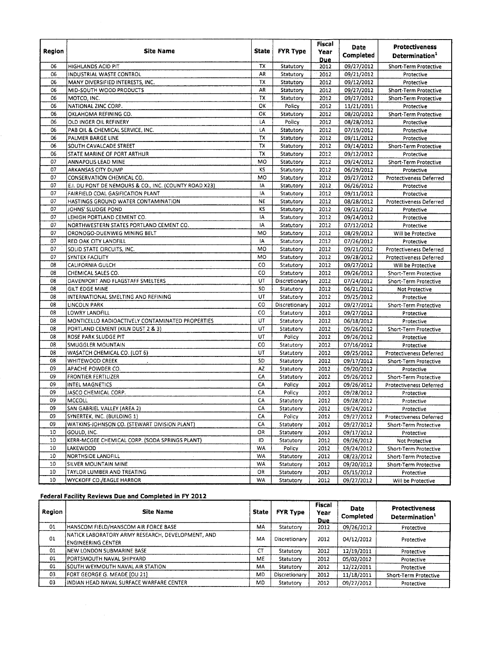| Region   | Site Name                                             | <b>State</b> | <b>FYR Type</b>        | Fiscal<br>Year     | Date<br>Completed        | <b>Protectiveness</b><br>Determination <sup>1</sup> |
|----------|-------------------------------------------------------|--------------|------------------------|--------------------|--------------------------|-----------------------------------------------------|
| 06       | <b>HIGHLANDS ACID PIT</b>                             | тх           | Statutory              | <b>Due</b><br>2012 | 09/27/2012               | Short-Term Protective                               |
| 06       | INDUSTRIAL WASTE CONTROL                              | AR           | Statutory              | 2012               | 09/21/2012               | Protective                                          |
| 06       | MANY DIVERSIFIED INTERESTS, INC.                      | TX           | Statutory              | 2012               | 09/12/2012               | Protective                                          |
| 06       | MID-SOUTH WOOD PRODUCTS                               | AR           | Statutory              | 2012               | 09/27/2012               | Short-Term Protective                               |
| 06       | MOTCO, INC.                                           | ΤХ           | Statutory              | 2012               | 09/27/2012               | Short-Term Protective                               |
| 06       | NATIONAL ZINC CORP.                                   | ОΚ           | Policy                 | 2012               | 11/21/2011               | Protective                                          |
| 06       | OKLAHOMA REFINING CO.                                 | ок           | Statutory              | 2012               | 08/20/2012               | Short-Term Protective                               |
| 06       | OLD INGER OIL REFINERY                                | LA           | Policy                 | 2012               | 08/28/2012               | Protective                                          |
| 06       | PAB OIL & CHEMICAL SERVICE, INC.                      | LΑ           | Statutory              | 2012               | 07/19/2012               | Protective                                          |
| 06       | PALMER BARGE LINE                                     | TX           | Statutory              | 2012               | 09/11/2012               | Protective                                          |
| 06       | SOUTH CAVALCADE STREET                                | TХ           | Statutory              | 2012               | 09/14/2012               | Short-Term Protective                               |
| 06       | STATE MARINE OF PORT ARTHUR                           | TX           | Statutory              | 2012               | 09/12/2012               | Protective                                          |
| 07       | ANNAPOLIS LEAD MINE                                   | MO           | Statutory              | 2012               | 09/24/2012               | Short-Term Protective                               |
| 07       | ARKANSAS CITY DUMP                                    | ΚS           | Statutory              | 2012               | 06/29/2012               | Protective                                          |
| 07       | CONSERVATION CHEMICAL CO.                             | MO           | Statutory              | 2012               | 09/27/2012               | <b>Protectiveness Deferred</b>                      |
| 07       | E.I. DU PONT DE NEMOURS & CO., INC. (COUNTY ROAD X23) | ١A           | Statutory              | 2012               | 06/26/2012               | Protective                                          |
| 07       | FAIRFIELD COAL GASIFICATION PLANT                     | IA           | Statutory              | 2012               | 09/11/2012               | Protective                                          |
| 07       | HASTINGS GROUND WATER CONTAMINATION                   | NE           | Statutory              | 2012               | 08/28/2012               | Protectiveness Deferred                             |
| 07       | JOHNS' SLUDGE POND                                    | κs           | Statutory              | 2012               | 09/21/2012               | Protective                                          |
| 07       | LEHIGH PORTLAND CEMENT CO.                            | IA           | Statutory              | 2012               | 09/24/2012               | Protective                                          |
| 07       | NORTHWESTERN STATES PORTLAND CEMENT CO.               | IA           | Statutory              | 2012               | 07/12/2012               | Protective                                          |
| 07       | ORONOGO-DUENWEG MINING BELT                           | MO           | Statutory              | 2012               | 08/29/2012               | Will be Protective                                  |
| 07       | RED OAK CITY LANDFILL                                 | I٨           | Statutory              | 2012               | 07/26/2012               | Protective                                          |
| 07       | SOLID STATE CIRCUITS, INC.                            | MO           | Statutory              | 2012               | 09/21/2012               | Protectiveness Deferred                             |
| 07       | SYNTEX FACILITY                                       | MO           | Statutory              | 2012               | 09/28/2012               | Protectiveness Deferred                             |
| 08       | <b>CALIFORNIA GULCH</b>                               | co           | Statutory              | 2012               | 09/27/2012               | Will be Protective                                  |
| 08       | CHEMICAL SALES CO.                                    | CO           | Statutory              | 2012               | 09/26/2012               | Short-Term Protective                               |
| 08       | DAVENPORT AND FLAGSTAFF SMELTERS                      | UT           | Discretionary          | 2012               | 07/24/2012               | Short-Term Protective                               |
| 08       | GILT EDGE MINE                                        | SD           | Statutory              | 2012               | 06/21/2012               | Not Protective                                      |
| 08       | INTERNATIONAL SMELTING AND REFINING                   | UT           | Statutory              | 2012               | 09/25/2012               | Protective                                          |
| 08       | LINCOLN PARK                                          | CO           | Discretionary          | 2012               | 09/27/2012               | Short-Term Protective                               |
| 08       | LOWRY LANDFILL                                        | co           | Statutory              | 2012               | 09/27/2012               | Protective                                          |
| 08       | MONTICELLO RADIOACTIVELY CONTAMINATED PROPERTIES      | UT           | Statutory              | 2012               | 06/18/2012               | Protective                                          |
| 08       | PORTLAND CEMENT (KILN DUST 2 & 3)                     | UT           | Statutory              | 2012               | 09/26/2012               | <b>Short-Term Protective</b>                        |
| 08       | ROSE PARK SLUDGE PIT                                  | UT           | Policy                 | 2012               | 09/26/2012               | Protective                                          |
| 08<br>08 | SMUGGLER MOUNTAIN                                     | CO<br>UT     | Statutory              | 2012               | 07/16/2012               | Protective                                          |
| 08       | WASATCH CHEMICAL CO. (LOT 6)<br>WHITEWOOD CREEK       | SD           | Statutory<br>Statutory | 2012<br>2012       | 09/25/2012               | Protectiveness Deferred                             |
| 09       | APACHE POWDER CO.                                     | AZ           |                        | 2012               | 09/17/2012               | Short-Term Protective                               |
| 09       | <b>FRONTIER FERTILIZER</b>                            | CA           | Statutory<br>Statutory | 2012               | 09/20/2012<br>09/26/2012 | Protective<br>Short-Term Protective                 |
| 09       | INTEL MAGNETICS                                       | CA           | Policy                 | 2012               | 09/26/2012               |                                                     |
| 09       | JASCO CHEMICAL CORP.                                  | CA           | Policy                 | 2012               | 09/28/2012               | Protectiveness Deferred<br>Protective               |
| 09       | MCCOLL                                                | CA           | Statutory              | 2012               | 09/28/2012               | Protective                                          |
| 09       | SAN GABRIEL VALLEY (AREA 2)                           | СA           | Statutory              | 2012               | 09/24/2012               | Protective                                          |
| 09       | SYNERTEK, INC. (BUILDING 1)                           | CA           | Policy                 | 2012               | 09/27/2012               | Protectiveness Deferred                             |
| 09       | WATKINS-JOHNSON CO. (STEWART DIVISION PLANT)          | CA           | Statutory              | 2012               | 09/27/2012               | Short-Term Protective                               |
| 10       | GOULD, INC.                                           | OR           | Statutory              | 2012               | 09/17/2012               | Protective                                          |
| 10       | KERR-MCGEE CHEMICAL CORP. (SODA SPRINGS PLANT)        | ID           | Statutory              | 2012               | 09/26/2012               | Not Protective                                      |
| 10       | <b>LAKEWOOD</b>                                       | WA           | Policy                 | 2012               | 09/24/2012               | Short-Term Protective                               |
| 10       | NORTHSIDE LANDFILL                                    | WA           | Statutory              | 2012               | 08/23/2012               | Short-Term Protective                               |
| 10       | SILVER MOUNTAIN MINE                                  | WA           | Statutory              | 2012               | 09/20/2012               | Short-Term Protective                               |
| 10       | TAYLOR LUMBER AND TREATING                            | OR           | Statutory              | 2012               | 05/15/2012               | Protective                                          |
| 10       | WYCKOFF CO./EAGLE HARBOR                              | WA           | Statutory              | 2012               | 09/27/2012               | Will be Protective                                  |
|          |                                                       |              |                        |                    |                          |                                                     |

## **Federal Facility Reviews Due and Completed in FY 2012**

| Region | <b>Site Name</b>                                                               | <b>State</b> | <b>FYR Type</b> | <b>Fiscal</b><br>Year<br>Due | <b>Date</b><br>Completed | <b>Protectiveness</b><br>Determination <sup>1</sup> |
|--------|--------------------------------------------------------------------------------|--------------|-----------------|------------------------------|--------------------------|-----------------------------------------------------|
| 01     | HANSCOM FIELD/HANSCOM AIR FORCE BASE                                           | MA           | Statutory       | 2012                         | 09/26/2012               | Protective                                          |
| 01     | NATICK LABORATORY ARMY RESEARCH, DEVELOPMENT, AND<br><b>ENGINEERING CENTER</b> | MA           | Discretionary   | 2012                         | 04/12/2012               | Protective                                          |
| 01     | NEW LONDON SUBMARINE BASE                                                      | <b>CT</b>    | Statutory       | 2012                         | 12/19/2011               | Protective                                          |
| 01     | PORTSMOUTH NAVAL SHIPYARD                                                      | ME           | Statutory       | 2012                         | 05/02/2012               | Protective                                          |
| 01     | ISOUTH WEYMOUTH NAVAL AIR STATION                                              | MA           | Statutory       | 2012                         | 12/22/2011               | Protective                                          |
| 03     | FORT GEORGE G. MEADE [OU 21]                                                   | <b>MD</b>    | Discretionary   | 2012                         | 11/18/2011               | Short-Term Protective                               |
| 03     | INDIAN HEAD NAVAL SURFACE WARFARE CENTER                                       | MD           | Statutory       | 2012                         | 09/27/2012               | Protective                                          |
|        |                                                                                |              |                 |                              |                          |                                                     |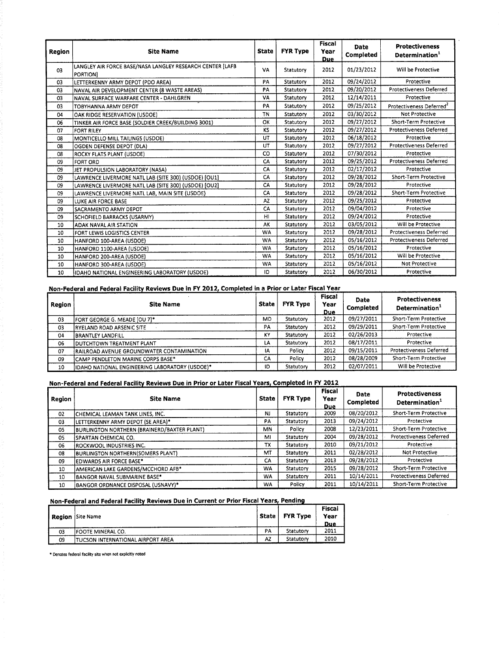|        |                                                           |              |                 | <b>Fiscal</b> |                  |                                      |  |
|--------|-----------------------------------------------------------|--------------|-----------------|---------------|------------------|--------------------------------------|--|
| Region | <b>Site Name</b>                                          | <b>State</b> | <b>FYR Type</b> | Year          | <b>Date</b>      | <b>Protectiveness</b>                |  |
|        |                                                           |              |                 | <b>Due</b>    | <b>Completed</b> | Determination <sup>1</sup>           |  |
|        | LANGLEY AIR FORCE BASE/NASA LANGLEY RESEARCH CENTER [LAFB | VA           | Statutory       | 2012          | 01/23/2012       | Will be Protective                   |  |
| 03     | <b>PORTIONI</b>                                           |              |                 |               |                  |                                      |  |
| 03     | LETTERKENNY ARMY DEPOT (PDO AREA)                         | PA           | Statutory       | 2012          | 09/24/2012       | Protective                           |  |
| 03     | NAVAL AIR DEVELOPMENT CENTER (8 WASTE AREAS)              | PA           | Statutory       | 2012          | 09/20/2012       | <b>Protectiveness Deferred</b>       |  |
| 03     | NAVAL SURFACE WARFARE CENTER - DAHLGREN                   | VA           | Statutory       | 2012          | 12/14/2011       | Protective                           |  |
| 03     | TOBYHANNA ARMY DEPOT                                      | PA           | Statutory       | 2012          | 09/25/2012       | Protectiveness Deferred <sup>2</sup> |  |
| 04     | OAK RIDGE RESERVATION (USDOE)                             | <b>TN</b>    | Statutory       | 2012          | 03/30/2012       | Not Protective                       |  |
| 06     | TINKER AIR FORCE BASE (SOLDIER CREEK/BUILDING 3001)       | OK           | Statutory       | 2012          | 09/27/2012       | Short-Term Protective                |  |
| 07     | <b>FORT RILEY</b>                                         | KS           | Statutory       | 2012          | 09/27/2012       | <b>Protectiveness Deferred</b>       |  |
| 08     | MONTICELLO MILL TAILINGS (USDOE)                          | UT           | Statutory       | 2012          | 06/18/2012       | Protective                           |  |
| 08     | OGDEN DEFENSE DEPOT (DLA)                                 | UT           | Statutory       | 2012          | 09/27/2012       | Protectiveness Deferred              |  |
| 08     | ROCKY FLATS PLANT (USDOE)                                 | CO           | Statutory       | 2012          | 07/30/2012       | Protective                           |  |
| 09     | <b>FORT ORD</b>                                           | CA           | Statutory       | 2012          | 09/25/2012       | <b>Protectiveness Deferred</b>       |  |
| 09     | JET PROPULSION LABORATORY (NASA)                          | CA           | Statutory       | 2012          | 02/17/2012       | Protective                           |  |
| 09     | LAWRENCE LIVERMORE NATL LAB (SITE 300) (USDOE) [OU1]      | CA           | Statutory       | 2012          | 09/28/2012       | Short-Term Protective                |  |
| 09     | LAWRENCE LIVERMORE NATL LAB (SITE 300) (USDOE) [OU2]      | CA           | Statutory       | 2012          | 09/28/2012       | Protective                           |  |
| 09     | LAWRENCE LIVERMORE NATL LAB, MAIN SITE (USDOE)            | CA           | Statutory       | 2012          | 09/28/2012       | Short-Term Protective                |  |
| 09     | LUKE AIR FORCE BASE                                       | AZ           | Statutory       | 2012          | 09/25/2012       | Protective                           |  |
| 09     | SACRAMENTO ARMY DEPOT                                     | CA           | Statutory       | 2012          | 09/04/2012       | Protective                           |  |
| 09     | SCHOFIELD BARRACKS (USARMY)                               | HI           | Statutory       | 2012          | 09/24/2012       | Protective                           |  |
| 10     | <b>ADAK NAVAL AIR STATION</b>                             | AK           | Statutory       | 2012          | 03/05/2012       | Will be Protective                   |  |
| 10     | FORT LEWIS LOGISTICS CENTER                               | <b>WA</b>    | Statutory       | 2012          | 09/28/2012       | Protectiveness Deferred              |  |
| 10     | HANFORD 100-AREA (USDOE)                                  | <b>WA</b>    | Statutory       | 2012          | 05/16/2012       | Protectiveness Deferred              |  |
| 10     | HANFORD 1100-AREA (USDOE)                                 | <b>WA</b>    | Statutory       | 2012          | 05/16/2012       | Protective                           |  |
| 10     | HANFORD 200-AREA (USDOE)                                  | <b>WA</b>    | Statutory       | 2012          | 05/16/2012       | Will be Protective                   |  |
| 10     | HANFORD 300-AREA (USDOE)                                  | <b>WA</b>    | Statutory       | 2012          | 05/16/2012       | <b>Not Protective</b>                |  |
| 10     | IDAHO NATIONAL ENGINEERING LABORATORY (USDOE)             | ID           | Statutory       | 2012          | 06/30/2012       | Protective                           |  |

|        | Non-Federal and Federal Facility Reviews Due in FY 2012, Completed in a Prior or Later Fiscal Year |              |                 |                              |                   |                                                     |  |  |
|--------|----------------------------------------------------------------------------------------------------|--------------|-----------------|------------------------------|-------------------|-----------------------------------------------------|--|--|
| Region | <b>Site Name</b>                                                                                   | <b>State</b> | <b>FYR Type</b> | <b>Fiscal</b><br>Year<br>Due | Date<br>Completed | <b>Protectiveness</b><br>Determination <sup>1</sup> |  |  |
| 03     | FORT GEORGE G. MEADE [OU 7]*                                                                       | <b>MD</b>    | Statutory       | 2012                         | 09/27/2011        | Short-Term Protective                               |  |  |
| 03     | <b>RYELAND ROAD ARSENIC SITE</b>                                                                   | PA           | Statutory       | 2012                         | 09/29/2011        | Short-Term Protective                               |  |  |
| 04     | <b>BRANTLEY LANDFILL</b>                                                                           | KY           | Statutory       | 2012                         | 02/26/2013        | Protective                                          |  |  |
| 06     | <b>DUTCHTOWN TREATMENT PLANT</b>                                                                   | LA           | Statutory       | 2012                         | 08/17/2011        | Protective                                          |  |  |
| 07     | RAILROAD AVENUE GROUNDWATER CONTAMINATION                                                          | ١A           | Policy          | 2012                         | 09/15/2011        | <b>Protectiveness Deferred</b>                      |  |  |
| 09     | CAMP PENDLETON MARINE CORPS BASE*                                                                  | CA           | Policy          | 2012                         | 08/28/2009        | Short-Term Protective                               |  |  |
| 10     | IDAHO NATIONAL ENGINEERING LABORATORY (USDOE)*                                                     | <b>ID</b>    | Statutory       | 2012                         | 02/07/2011        | Will be Protective                                  |  |  |

#### **-Federal and Federal Facility Reviews Due in Prior or Later Fiscal Years, Completed in FY 2012**

| 10     | IIDAHO NATIONAL ENGINEERING LABORATORY (USDOE)*                                                   | ١D           | Statutory       | 2012                          | 02/07/2011        | Will be Protective                                  |
|--------|---------------------------------------------------------------------------------------------------|--------------|-----------------|-------------------------------|-------------------|-----------------------------------------------------|
|        | Non-Federal and Federal Facility Reviews Due in Prior or Later Fiscal Years, Completed in FY 2012 |              |                 |                               |                   |                                                     |
| Region | <b>Site Name</b>                                                                                  | <b>State</b> | <b>FYR Type</b> | <b>Fiscal</b><br>Year<br>Due. | Date<br>Completed | <b>Protectiveness</b><br>Determination <sup>1</sup> |
| 02     | İCHEMICAL LEAMAN TANK LINES, INC.                                                                 | NJ           | Statutory       | 2009                          | 08/20/2012        | Short-Term Protective                               |
| 03     | LETTERKENNY ARMY DEPOT (SE AREA)*                                                                 | PA           | Statutory       | 2013                          | 09/24/2012        | Protective                                          |
| 05     | <b>BURLINGTON NORTHERN (BRAINERD/BAXTER PLANT)</b>                                                | MN           | Policy          | 2008                          | 12/23/2011        | Short-Term Protective                               |
| 05     | ISPARTAN CHEMICAL CO.                                                                             | MI           | Statutory       | 2004                          | 09/28/2012        | <b>Protectiveness Deferred</b>                      |
| 06     | ROCKWOOL INDUSTRIES INC.                                                                          | тх           | Statutory       | 2010                          | 09/21/2012        | Protective                                          |
| 08     | <b>BURLINGTON NORTHERN(SOMERS PLANT)</b>                                                          | MT           | Statutory       | 2011                          | 02/28/2012        | Not Protective                                      |
| 09     | <b>EDWARDS AIR FORCE BASE*</b>                                                                    | CA           | Statutory       | 2013                          | 09/28/2012        | Protective                                          |
| 10     | <b>AMERICAN LAKE GARDENS/MCCHORD AFB*</b>                                                         | WA           | Statutory       | 2015                          | 09/28/2012        | Short-Term Protective                               |
| 10     | BANGOR NAVAL SUBMARINE BASE*                                                                      | WA           | Statutory       | 2011                          | 10/14/2011        | Protectiveness Deferred                             |
| 10     | <b>BANGOR ORDNANCE DISPOSAL (USNAVY)*</b>                                                         | WA           | Policy          | 2011                          | 10/14/2011        | Short-Term Protective                               |

## **Non-Federal and Federal Facility Reviews Due in Current or Prior Fiscal Years, Pending**

|    | <b>Region</b> Site Name                   | <b>State</b> | <b>FYR Type</b> | <b>Fiscal</b><br>Year<br><b>Due</b> |
|----|-------------------------------------------|--------------|-----------------|-------------------------------------|
| 03 | <b>IFOOTE MINERAL CO.</b>                 | PA           | Statutory       | 2011                                |
| 09 | <b>ITUCSON INTERNATIONAL AIRPORT AREA</b> | AZ           | Statutory       | 2010                                |

\* Denotes federal facility site when not explicitly noted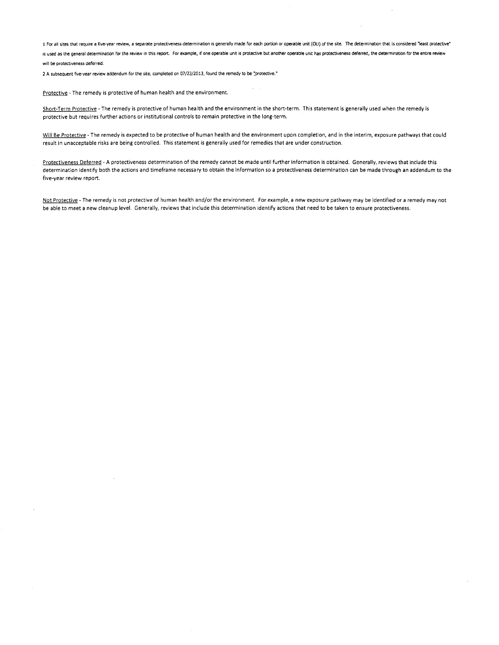1 For all sites that require a five-year review, a separate protectiveness determination is generally made for each portion or operable Unit (OU) of the site. The determination that is considered 'least protective" is used as the general determination for the review in this report. For example, if one operable unit is protective but another operable unit has protectiveness deferred, the determination for the entire review will be protectiveness deferred.

 $\cdot$ 

2 A subsequent five-year review addendum for the Site, completed on 07/23/2013, found the remedy to be "protective."

Protective - The remedy is protective of human health and the environment.

Short-Term Protective - The remedy is protective of human health and the environment in the short-term. This statement is generally used when the remedy is protective but requires further actions or institutional controls to remain protective in the long-term.

Will Be Protective - The remedy is expected to be protective of human health and the environment upon completion, and in the interim, exposure pathways that could result in unacceptable risks are being controlled. This statement is generally used for remedies that are under construction.

Protectiveness Deferred - A protectiveness determination of the remedy cannot be made until further information is obtained. Generally, reviews that include this determination identify both the actions and timeframe necessary to obtain the information so a protectiveness determination can be made through an addendum to the five-year review report.

Not Protective - The remedy is not protective of human health and/or the environment. For example, a new exposure pathway may be identified or a remedy may not be able to meet a new cleanup level. Generally, reviews that include this determination identify actions that need to be taken to ensure protectiveness.